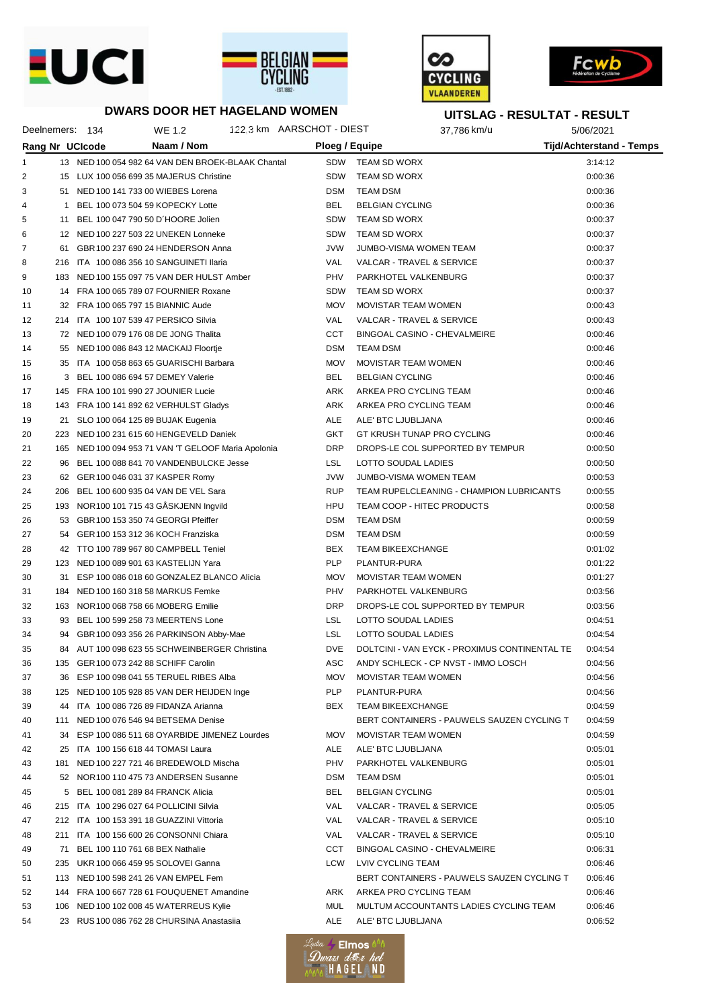



**DWARS DOOR HET HAGELAND WOMEN**





## **UITSLAG - RESULTAT - RESULT**

|              |     | Deelnemers: 134 | WE 1.2                                              | 122,3 km AARSCHOT - DIEST |            |                            | 37,786 km/u                                   | 5/06/2021                       |  |
|--------------|-----|-----------------|-----------------------------------------------------|---------------------------|------------|----------------------------|-----------------------------------------------|---------------------------------|--|
|              |     | Rang Nr UCIcode | Naam / Nom                                          |                           |            | Ploeg / Equipe             |                                               | <b>Tijd/Achterstand - Temps</b> |  |
| $\mathbf{1}$ |     |                 | 13 NED 100 054 982 64 VAN DEN BROEK-BLAAK Chantal   |                           |            | SDW TEAM SD WORX           |                                               | 3:14:12                         |  |
| 2            |     |                 | 15 LUX 100 056 699 35 MAJERUS Christine             |                           | <b>SDW</b> | TEAM SD WORX               |                                               | 0:00:36                         |  |
| 3            |     |                 | 51 NED 100 141 733 00 WIEBES Lorena                 |                           | <b>DSM</b> | <b>TEAM DSM</b>            |                                               | 0:00:36                         |  |
| 4            |     |                 | 1 BEL 100 073 504 59 KOPECKY Lotte                  |                           | <b>BEL</b> | <b>BELGIAN CYCLING</b>     |                                               | 0:00:36                         |  |
| 5            |     |                 | 11 BEL 100 047 790 50 D'HOORE Jolien                |                           | <b>SDW</b> | TEAM SD WORX               |                                               | 0:00:37                         |  |
| 6            |     |                 | 12 NED 100 227 503 22 UNEKEN Lonneke                |                           | <b>SDW</b> | TEAM SD WORX               |                                               | 0:00:37                         |  |
| 7            |     |                 | 61 GBR 100 237 690 24 HENDERSON Anna                |                           | <b>JVW</b> | JUMBO-VISMA WOMEN TEAM     |                                               | 0:00:37                         |  |
| 8            |     |                 | 216 ITA 100 086 356 10 SANGUINETI Ilaria            |                           | VAL        | VALCAR - TRAVEL & SERVICE  |                                               | 0:00:37                         |  |
| 9            |     |                 | 183 NED 100 155 097 75 VAN DER HULST Amber          |                           | PHV        | PARKHOTEL VALKENBURG       |                                               | 0:00:37                         |  |
| 10           |     |                 | 14 FRA 100 065 789 07 FOURNIER Roxane               |                           | <b>SDW</b> | TEAM SD WORX               |                                               | 0:00:37                         |  |
| 11           |     |                 | 32 FRA 100 065 797 15 BIANNIC Aude                  |                           | <b>MOV</b> | MOVISTAR TEAM WOMEN        |                                               | 0:00:43                         |  |
| 12           |     |                 | 214 ITA 100 107 539 47 PERSICO Silvia               |                           | VAL        | VALCAR - TRAVEL & SERVICE  |                                               | 0:00:43                         |  |
| 13           |     |                 | 72 NED 100 079 176 08 DE JONG Thalita               |                           | CCT        |                            | BINGOAL CASINO - CHEVALMEIRE                  | 0:00:46                         |  |
| 14           |     |                 | 55 NED 100 086 843 12 MACKAIJ Floortje              |                           | DSM        | TEAM DSM                   |                                               | 0:00:46                         |  |
| 15           |     |                 | 35 ITA 100 058 863 65 GUARISCHI Barbara             |                           | <b>MOV</b> | MOVISTAR TEAM WOMEN        |                                               | 0:00:46                         |  |
| 16           |     |                 | 3 BEL 100 086 694 57 DEMEY Valerie                  |                           | <b>BEL</b> | <b>BELGIAN CYCLING</b>     |                                               | 0:00:46                         |  |
| 17           |     |                 | 145 FRA 100 101 990 27 JOUNIER Lucie                |                           | ARK        | ARKEA PRO CYCLING TEAM     |                                               | 0:00:46                         |  |
| 18           |     |                 | 143 FRA 100 141 892 62 VERHULST Gladys              |                           | ARK        | ARKEA PRO CYCLING TEAM     |                                               | 0:00:46                         |  |
| 19           |     |                 | 21 SLO 100 064 125 89 BUJAK Eugenia                 |                           | ALE        | ALE' BTC LJUBLJANA         |                                               | 0:00:46                         |  |
| 20           |     |                 | 223 NED 100 231 615 60 HENGEVELD Daniek             |                           | GKT        |                            | GT KRUSH TUNAP PRO CYCLING                    | 0:00:46                         |  |
| 21           |     |                 | 165 NED 100 094 953 71 VAN 'T GELOOF Maria Apolonia |                           | <b>DRP</b> |                            | DROPS-LE COL SUPPORTED BY TEMPUR              | 0:00:50                         |  |
| 22           |     |                 | 96 BEL 100 088 841 70 VANDENBULCKE Jesse            |                           | LSL.       | LOTTO SOUDAL LADIES        |                                               | 0:00:50                         |  |
| 23           |     |                 | 62 GER 100 046 031 37 KASPER Romy                   |                           | <b>JVW</b> | JUMBO-VISMA WOMEN TEAM     |                                               | 0:00:53                         |  |
| 24           |     |                 | 206 BEL 100 600 935 04 VAN DE VEL Sara              |                           | <b>RUP</b> |                            | TEAM RUPELCLEANING - CHAMPION LUBRICANTS      | 0:00:55                         |  |
| 25           |     |                 | 193 NOR 100 101 715 43 GÅSKJENN Ingvild             |                           | HPU        |                            | TEAM COOP - HITEC PRODUCTS                    | 0:00:58                         |  |
| 26           |     |                 | 53 GBR 100 153 350 74 GEORGI Pfeiffer               |                           | <b>DSM</b> | TEAM DSM                   |                                               | 0:00:59                         |  |
| 27           |     |                 | 54 GER 100 153 312 36 KOCH Franziska                |                           | <b>DSM</b> | TEAM DSM                   |                                               | 0:00:59                         |  |
| 28           |     |                 | 42 TTO 100 789 967 80 CAMPBELL Teniel               |                           | BEX        | <b>TEAM BIKEEXCHANGE</b>   |                                               | 0:01:02                         |  |
| 29           |     |                 | 123 NED 100 089 901 63 KASTELIJN Yara               |                           | <b>PLP</b> | PLANTUR-PURA               |                                               | 0:01:22                         |  |
| 30           |     |                 | 31 ESP 100 086 018 60 GONZALEZ BLANCO Alicia        |                           | <b>MOV</b> | MOVISTAR TEAM WOMEN        |                                               | 0:01:27                         |  |
| 31           |     |                 | 184 NED 100 160 318 58 MARKUS Femke                 |                           | PHV        | PARKHOTEL VALKENBURG       |                                               | 0:03:56                         |  |
| 32           |     |                 | 163 NOR 100 068 758 66 MOBERG Emilie                |                           | <b>DRP</b> |                            | DROPS-LE COL SUPPORTED BY TEMPUR              | 0:03:56                         |  |
| 33           |     |                 | 93 BEL 100 599 258 73 MEERTENS Lone                 |                           | <b>LSL</b> | LOTTO SOUDAL LADIES        |                                               | 0:04:51                         |  |
| 34           |     |                 | 94 GBR 100 093 356 26 PARKINSON Abby-Mae            |                           | <b>LSL</b> | LOTTO SOUDAL LADIES        |                                               | 0:04:54                         |  |
| 35           |     |                 | 84 AUT 100 098 623 55 SCHWEINBERGER Christina       |                           | <b>DVE</b> |                            | DOLTCINI - VAN EYCK - PROXIMUS CONTINENTAL TE | 0:04:54                         |  |
| 36           |     |                 | 135 GER 100 073 242 88 SCHIFF Carolin               |                           | ASC        |                            | ANDY SCHLECK - CP NVST - IMMO LOSCH           | 0:04:56                         |  |
| 37           |     |                 | 36 ESP 100 098 041 55 TERUEL RIBES Alba             |                           | <b>MOV</b> | MOVISTAR TEAM WOMEN        |                                               | 0:04:56                         |  |
| 38           |     |                 | 125 NED 100 105 928 85 VAN DER HEIJDEN Inge         |                           | PLP        | PLANTUR-PURA               |                                               | 0:04:56                         |  |
| 39           |     |                 | 44 ITA 100 086 726 89 FIDANZA Arianna               |                           | BEX        | <b>TEAM BIKEEXCHANGE</b>   |                                               | 0:04:59                         |  |
| 40           |     |                 | 111 NED 100 076 546 94 BETSEMA Denise               |                           |            |                            | BERT CONTAINERS - PAUWELS SAUZEN CYCLING T    | 0:04:59                         |  |
| 41           |     |                 | 34 ESP 100 086 511 68 OYARBIDE JIMENEZ Lourdes      |                           | <b>MOV</b> | <b>MOVISTAR TEAM WOMEN</b> |                                               | 0:04:59                         |  |
| 42           |     |                 | 25 ITA 100 156 618 44 TOMASI Laura                  |                           | ALE        | ALE' BTC LJUBLJANA         |                                               | 0:05:01                         |  |
| 43           | 181 |                 | NED 100 227 721 46 BREDEWOLD Mischa                 |                           | PHV        | PARKHOTEL VALKENBURG       |                                               | 0:05:01                         |  |
| 44           |     |                 | 52 NOR 100 110 475 73 ANDERSEN Susanne              |                           | <b>DSM</b> | TEAM DSM                   |                                               | 0:05:01                         |  |
| 45           |     |                 | 5 BEL 100 081 289 84 FRANCK Alicia                  |                           | BEL        | <b>BELGIAN CYCLING</b>     |                                               | 0:05:01                         |  |
| 46           |     |                 | 215 ITA 100 296 027 64 POLLICINI Silvia             |                           | VAL        | VALCAR - TRAVEL & SERVICE  |                                               | 0:05:05                         |  |
| 47           |     |                 | 212 ITA 100 153 391 18 GUAZZINI Vittoria            |                           | VAL        | VALCAR - TRAVEL & SERVICE  |                                               | 0:05:10                         |  |
| 48           | 211 |                 | ITA 100 156 600 26 CONSONNI Chiara                  |                           | VAL        | VALCAR - TRAVEL & SERVICE  |                                               | 0:05:10                         |  |
| 49           | 71  |                 | BEL 100 110 761 68 BEX Nathalie                     |                           | CCT        |                            | BINGOAL CASINO - CHEVALMEIRE                  | 0:06:31                         |  |
| 50           |     |                 | 235 UKR 100 066 459 95 SOLOVEI Ganna                |                           | LCW        | LVIV CYCLING TEAM          |                                               | 0:06:46                         |  |
| 51           |     |                 | 113 NED 100 598 241 26 VAN EMPEL Fem                |                           |            |                            | BERT CONTAINERS - PAUWELS SAUZEN CYCLING T    | 0:06:46                         |  |
| 52           |     |                 | 144 FRA 100 667 728 61 FOUQUENET Amandine           |                           | ARK        | ARKEA PRO CYCLING TEAM     |                                               | 0:06:46                         |  |
| 53           |     |                 | 106 NED 100 102 008 45 WATERREUS Kylie              |                           | MUL        |                            | MULTUM ACCOUNTANTS LADIES CYCLING TEAM        | 0:06:46                         |  |
| 54           |     |                 | 23 RUS 100 086 762 28 CHURSINA Anastasiia           |                           | ALE        | ALE' BTC LJUBLJANA         |                                               | 0:06:52                         |  |
|              |     |                 |                                                     |                           |            |                            |                                               |                                 |  |

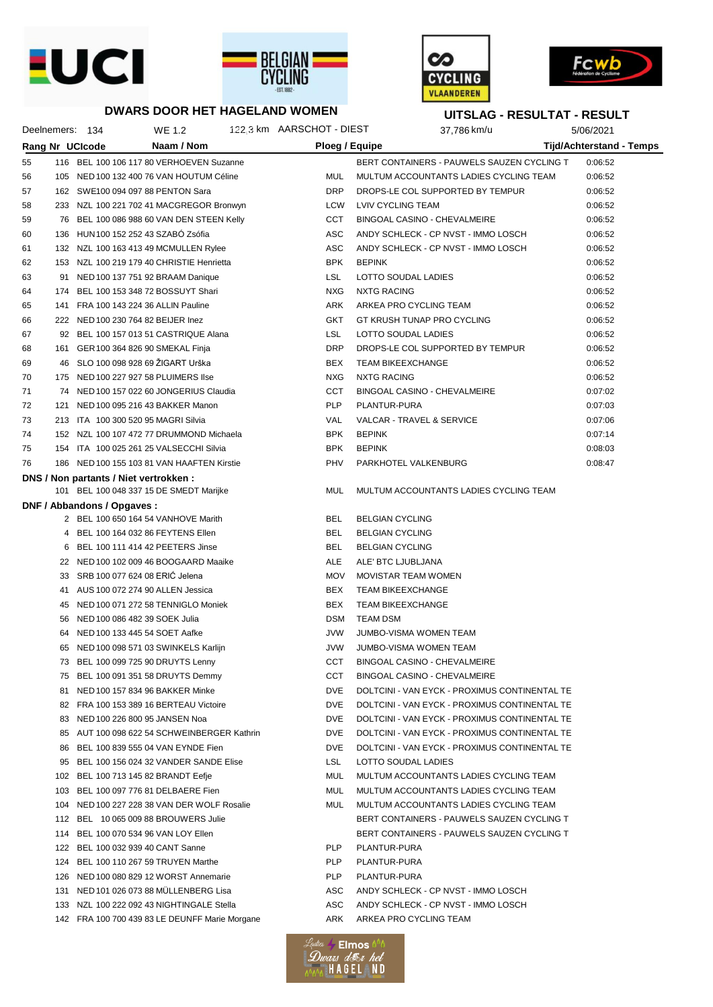







## **DWARS DOOR HET HAGELAND WOMEN**

Deelnemers: 134 WE 1.2 3:14:12 122,3 km 37,786 km/u 5/06/2021 AARSCHOT - DIEST

**UITSLAG - RESULTAT - RESULT**

|    |    | Rang Nr UCIcode<br>Naam / Nom                  | Ploeg / Equipe |                                               | <b>Tijd/Achterstand - Temps</b> |
|----|----|------------------------------------------------|----------------|-----------------------------------------------|---------------------------------|
| 55 |    | 116 BEL 100 106 117 80 VERHOEVEN Suzanne       |                | BERT CONTAINERS - PAUWELS SAUZEN CYCLING T    | 0:06:52                         |
| 56 |    | 105 NED 100 132 400 76 VAN HOUTUM Céline       | MUL            | MULTUM ACCOUNTANTS LADIES CYCLING TEAM        | 0:06:52                         |
| 57 |    | 162 SWE100 094 097 88 PENTON Sara              | <b>DRP</b>     | DROPS-LE COL SUPPORTED BY TEMPUR              | 0:06:52                         |
| 58 |    | 233 NZL 100 221 702 41 MACGREGOR Bronwyn       | LCW            | LVIV CYCLING TEAM                             | 0:06:52                         |
| 59 |    | 76 BEL 100 086 988 60 VAN DEN STEEN Kelly      | CCT            | <b>BINGOAL CASINO - CHEVALMEIRE</b>           | 0:06:52                         |
| 60 |    | 136 HUN 100 152 252 43 SZABÓ Zsófia            | <b>ASC</b>     | ANDY SCHLECK - CP NVST - IMMO LOSCH           | 0:06:52                         |
| 61 |    | 132 NZL 100 163 413 49 MCMULLEN Rylee          | ASC            | ANDY SCHLECK - CP NVST - IMMO LOSCH           | 0:06:52                         |
| 62 |    | 153 NZL 100 219 179 40 CHRISTIE Henrietta      | <b>BPK</b>     | <b>BEPINK</b>                                 | 0:06:52                         |
| 63 |    | 91 NED 100 137 751 92 BRAAM Danique            | <b>LSL</b>     | LOTTO SOUDAL LADIES                           | 0:06:52                         |
| 64 |    | 174 BEL 100 153 348 72 BOSSUYT Shari           | <b>NXG</b>     | <b>NXTG RACING</b>                            | 0:06:52                         |
| 65 |    | 141 FRA 100 143 224 36 ALLIN Pauline           | ARK            | ARKEA PRO CYCLING TEAM                        | 0:06:52                         |
| 66 |    | 222 NED 100 230 764 82 BEIJER Inez             | <b>GKT</b>     | GT KRUSH TUNAP PRO CYCLING                    | 0:06:52                         |
| 67 |    | 92 BEL 100 157 013 51 CASTRIQUE Alana          | <b>LSL</b>     | LOTTO SOUDAL LADIES                           | 0:06:52                         |
| 68 |    | 161 GER 100 364 826 90 SMEKAL Finja            | <b>DRP</b>     | DROPS-LE COL SUPPORTED BY TEMPUR              | 0:06:52                         |
| 69 |    | 46 SLO 100 098 928 69 ŽIGART Urška             | BEX            | <b>TEAM BIKEEXCHANGE</b>                      | 0:06:52                         |
| 70 |    | 175 NED 100 227 927 58 PLUIMERS Ilse           | <b>NXG</b>     | <b>NXTG RACING</b>                            | 0:06:52                         |
| 71 |    | 74 NED 100 157 022 60 JONGERIUS Claudia        | CCT            | BINGOAL CASINO - CHEVALMEIRE                  | 0:07:02                         |
| 72 |    | 121 NED 100 095 216 43 BAKKER Manon            | <b>PLP</b>     | PLANTUR-PURA                                  | 0:07:03                         |
| 73 |    | 213 ITA 100 300 520 95 MAGRI Silvia            | VAL            | VALCAR - TRAVEL & SERVICE                     | 0:07:06                         |
| 74 |    | 152 NZL 100 107 472 77 DRUMMOND Michaela       | <b>BPK</b>     | <b>BEPINK</b>                                 | 0:07:14                         |
| 75 |    | 154 ITA 100 025 261 25 VALSECCHI Silvia        | <b>BPK</b>     | <b>BEPINK</b>                                 | 0:08:03                         |
| 76 |    | 186 NED 100 155 103 81 VAN HAAFTEN Kirstie     | PHV            | PARKHOTEL VALKENBURG                          | 0:08:47                         |
|    |    | DNS / Non partants / Niet vertrokken:          |                |                                               |                                 |
|    |    | 101 BEL 100 048 337 15 DE SMEDT Marijke        | <b>MUL</b>     | MULTUM ACCOUNTANTS LADIES CYCLING TEAM        |                                 |
|    |    | DNF / Abbandons / Opgaves:                     |                |                                               |                                 |
|    |    | 2 BEL 100 650 164 54 VANHOVE Marith            | BEL            | <b>BELGIAN CYCLING</b>                        |                                 |
|    |    | 4 BEL 100 164 032 86 FEYTENS Ellen             | BEL            | <b>BELGIAN CYCLING</b>                        |                                 |
|    |    | 6 BEL 100 111 414 42 PEETERS Jinse             | <b>BEL</b>     | <b>BELGIAN CYCLING</b>                        |                                 |
|    |    | 22 NED 100 102 009 46 BOOGAARD Maaike          | <b>ALE</b>     | ALE' BTC LJUBLJANA                            |                                 |
|    |    | 33 SRB 100 077 624 08 ERIC Jelena              | <b>MOV</b>     | MOVISTAR TEAM WOMEN                           |                                 |
|    |    | 41 AUS 100 072 274 90 ALLEN Jessica            | <b>BEX</b>     | <b>TEAM BIKEEXCHANGE</b>                      |                                 |
|    |    | 45 NED 100 071 272 58 TENNIGLO Moniek          | <b>BEX</b>     | <b>TEAM BIKEEXCHANGE</b>                      |                                 |
|    |    | 56 NED 100 086 482 39 SOEK Julia               | <b>DSM</b>     | <b>TEAM DSM</b>                               |                                 |
|    | 64 | NED 100 133 445 54 SOET Aafke                  | <b>JVW</b>     | JUMBO-VISMA WOMEN TEAM                        |                                 |
|    |    | 65 NED 100 098 571 03 SWINKELS Karlijn         | <b>JVW</b>     | JUMBO-VISMA WOMEN TEAM                        |                                 |
|    |    | 73 BEL 100 099 725 90 DRUYTS Lenny             | <b>CCT</b>     | BINGOAL CASINO - CHEVALMEIRE                  |                                 |
|    |    | 75 BEL 100 091 351 58 DRUYTS Demmy             | CCT            | BINGOAL CASINO - CHEVALMEIRE                  |                                 |
|    |    | 81 NED 100 157 834 96 BAKKER Minke             | DVE            | DOLTCINI - VAN EYCK - PROXIMUS CONTINENTAL TE |                                 |
|    |    | 82 FRA 100 153 389 16 BERTEAU Victoire         | <b>DVE</b>     | DOLTCINI - VAN EYCK - PROXIMUS CONTINENTAL TE |                                 |
|    |    | 83 NED 100 226 800 95 JANSEN Noa               | <b>DVE</b>     | DOLTCINI - VAN EYCK - PROXIMUS CONTINENTAL TE |                                 |
|    |    | 85 AUT 100 098 622 54 SCHWEINBERGER Kathrin    | <b>DVE</b>     | DOLTCINI - VAN EYCK - PROXIMUS CONTINENTAL TE |                                 |
|    |    | 86 BEL 100 839 555 04 VAN EYNDE Fien           | <b>DVE</b>     | DOLTCINI - VAN EYCK - PROXIMUS CONTINENTAL TE |                                 |
|    |    | 95 BEL 100 156 024 32 VANDER SANDE Elise       | <b>LSL</b>     | LOTTO SOUDAL LADIES                           |                                 |
|    |    | 102 BEL 100 713 145 82 BRANDT Eefje            | MUL            | MULTUM ACCOUNTANTS LADIES CYCLING TEAM        |                                 |
|    |    | 103 BEL 100 097 776 81 DELBAERE Fien           | MUL            | MULTUM ACCOUNTANTS LADIES CYCLING TEAM        |                                 |
|    |    | 104 NED 100 227 228 38 VAN DER WOLF Rosalie    | MUL.           | MULTUM ACCOUNTANTS LADIES CYCLING TEAM        |                                 |
|    |    | 112 BEL 10 065 009 88 BROUWERS Julie           |                | BERT CONTAINERS - PAUWELS SAUZEN CYCLING T    |                                 |
|    |    | 114 BEL 100 070 534 96 VAN LOY Ellen           |                | BERT CONTAINERS - PAUWELS SAUZEN CYCLING T    |                                 |
|    |    | 122 BEL 100 032 939 40 CANT Sanne              | <b>PLP</b>     | PLANTUR-PURA                                  |                                 |
|    |    | 124 BEL 100 110 267 59 TRUYEN Marthe           | <b>PLP</b>     | PLANTUR-PURA                                  |                                 |
|    |    | 126 NED 100 080 829 12 WORST Annemarie         | <b>PLP</b>     | PLANTUR-PURA                                  |                                 |
|    |    | 131 NED 101 026 073 88 MULLENBERG Lisa         | ASC            | ANDY SCHLECK - CP NVST - IMMO LOSCH           |                                 |
|    |    | 133 NZL 100 222 092 43 NIGHTINGALE Stella      | ASC            | ANDY SCHLECK - CP NVST - IMMO LOSCH           |                                 |
|    |    | 142 FRA 100 700 439 83 LE DEUNFF Marie Morgane | ARK            | ARKEA PRO CYCLING TEAM                        |                                 |
|    |    |                                                |                |                                               |                                 |